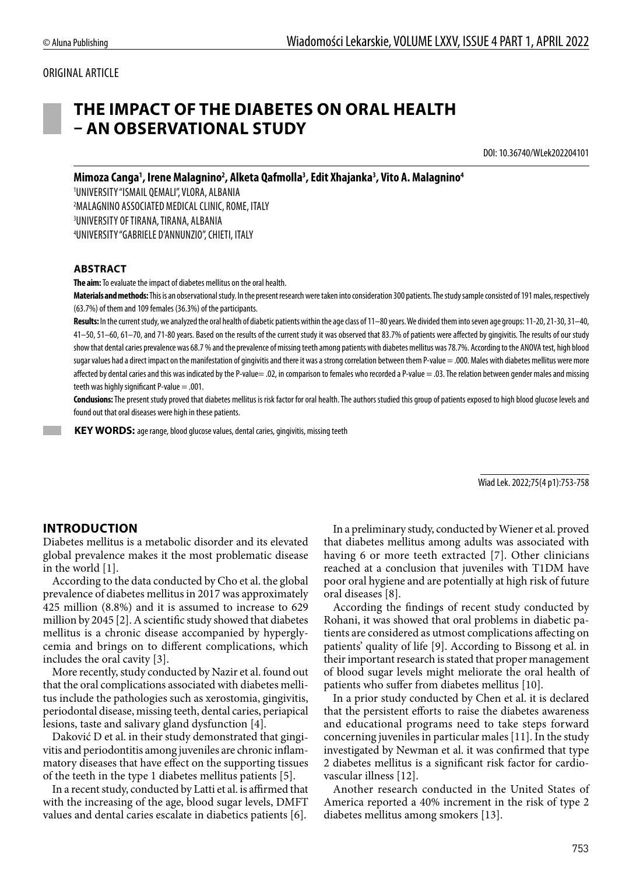#### ORIGINAL ARTICLE

# **THE IMPACT OF THE DIABETES ON ORAL HEALTH – AN OBSERVATIONAL STUDY**

DOI: 10.36740/WLek202204101

Mimoza Canga<sup>1</sup>, Irene Malagnino<sup>2</sup>, Alketa Qafmolla<sup>3</sup>, Edit Xhajanka<sup>3</sup>, Vito A. Malagnino<sup>4</sup> UNIVERSITY "ISMAIL QEMALI", VLORA, ALBANIA MALAGNINO ASSOCIATED MEDICAL CLINIC, ROME, ITALY UNIVERSITY OF TIRANA, TIRANA, ALBANIA UNIVERSITY "GABRIELE D'ANNUNZIO", CHIETI, ITALY

#### **ABSTRACT**

**The aim:** To evaluate the impact of diabetes mellitus on the oral health.

**Materials and methods:** This is an observational study. In the present research were taken into consideration 300 patients. The study sample consisted of 191 males, respectively (63.7%) of them and 109 females (36.3%) of the participants.

Results: In the current study, we analyzed the oral health of diabetic patients within the age class of 11–80 years. We divided them into seven age groups: 11-20, 21-30, 31-40, 41–50, 51–60, 61–70, and 71-80 years. Based on the results of the current study it was observed that 83.7% of patients were affected by gingivitis. The results of our study show that dental caries prevalence was 68.7 % and the prevalence of missing teeth among patients with diabetes mellitus was 78.7%. According to the ANOVA test, high blood sugar values had a direct impact on the manifestation of gingivitis and there it was a strong correlation between them P-value = .000. Males with diabetes mellitus were more affected by dental caries and this was indicated by the P-value= .02, in comparison to females who recorded a P-value = .03. The relation between gender males and missing teeth was highly significant P-value  $=$  .001.

**Conclusions:** The present study proved that diabetes mellitus is risk factor for oral health. The authors studied this group of patients exposed to high blood glucose levels and found out that oral diseases were high in these patients.

 **KEY WORDS:** age range, blood glucose values, dental caries, gingivitis, missing teeth

Wiad Lek. 2022;75(4 p1):753-758

#### **INTRODUCTION**

Diabetes mellitus is a metabolic disorder and its elevated global prevalence makes it the most problematic disease in the world [1].

According to the data conducted by Cho et al. the global prevalence of diabetes mellitus in 2017 was approximately 425 million (8.8%) and it is assumed to increase to 629 million by 2045 [2]. A scientific study showed that diabetes mellitus is a chronic disease accompanied by hyperglycemia and brings on to different complications, which includes the oral cavity [3].

More recently, study conducted by Nazir et al. found out that the oral complications associated with diabetes mellitus include the pathologies such as xerostomia, gingivitis, periodontal disease, missing teeth, dental caries, periapical lesions, taste and salivary gland dysfunction [4].

Daković D et al. in their study demonstrated that gingivitis and periodontitis among juveniles are chronic inflammatory diseases that have effect on the supporting tissues of the teeth in the type 1 diabetes mellitus patients [5].

In a recent study, conducted by Latti et al. is affirmed that with the increasing of the age, blood sugar levels, DMFT values and dental caries escalate in diabetics patients [6].

In a preliminary study, conducted by Wiener et al. proved that diabetes mellitus among adults was associated with having 6 or more teeth extracted [7]. Other clinicians reached at a conclusion that juveniles with T1DM have poor oral hygiene and are potentially at high risk of future oral diseases [8].

According the findings of recent study conducted by Rohani, it was showed that oral problems in diabetic patients are considered as utmost complications affecting on patients' quality of life [9]. According to Bissong et al. in their important research is stated that proper management of blood sugar levels might meliorate the oral health of patients who suffer from diabetes mellitus [10].

In a prior study conducted by Chen et al. it is declared that the persistent efforts to raise the diabetes awareness and educational programs need to take steps forward concerning juveniles in particular males [11]. In the study investigated by Newman et al. it was confirmed that type 2 diabetes mellitus is a significant risk factor for cardiovascular illness [12].

Another research conducted in the United States of America reported a 40% increment in the risk of type 2 diabetes mellitus among smokers [13].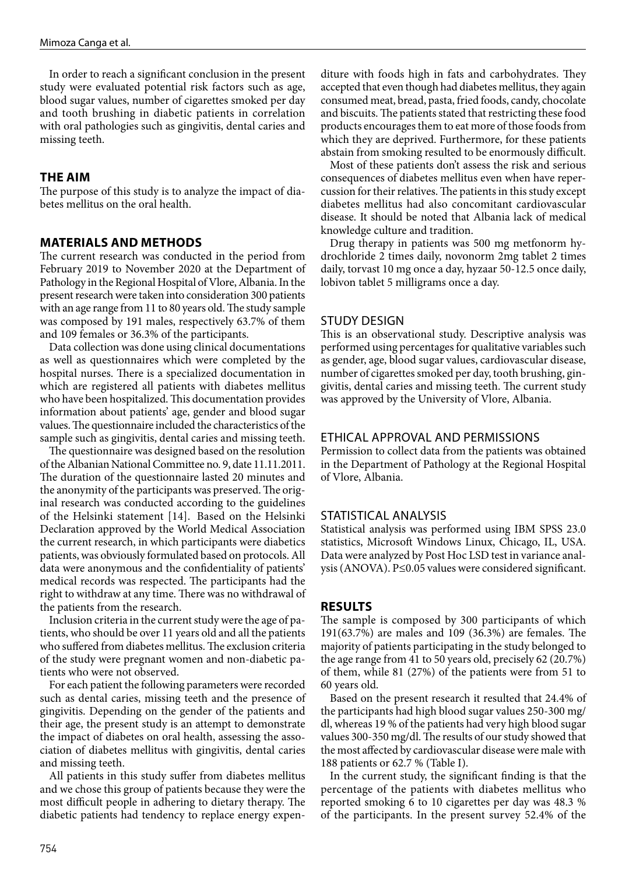In order to reach a significant conclusion in the present study were evaluated potential risk factors such as age, blood sugar values, number of cigarettes smoked per day and tooth brushing in diabetic patients in correlation with oral pathologies such as gingivitis, dental caries and missing teeth.

# **THE AIM**

The purpose of this study is to analyze the impact of diabetes mellitus on the oral health.

### **MATERIALS AND METHODS**

The current research was conducted in the period from February 2019 to November 2020 at the Department of Pathology in the Regional Hospital of Vlore, Albania. In the present research were taken into consideration 300 patients with an age range from 11 to 80 years old. The study sample was composed by 191 males, respectively 63.7% of them and 109 females or 36.3% of the participants.

Data collection was done using clinical documentations as well as questionnaires which were completed by the hospital nurses. There is a specialized documentation in which are registered all patients with diabetes mellitus who have been hospitalized. This documentation provides information about patients' age, gender and blood sugar values. The questionnaire included the characteristics of the sample such as gingivitis, dental caries and missing teeth.

The questionnaire was designed based on the resolution of the Albanian National Committee no. 9, date 11.11.2011. The duration of the questionnaire lasted 20 minutes and the anonymity of the participants was preserved. The original research was conducted according to the guidelines of the Helsinki statement [14]. Based on the Helsinki Declaration approved by the World Medical Association the current research, in which participants were diabetics patients, was obviously formulated based on protocols. All data were anonymous and the confidentiality of patients' medical records was respected. The participants had the right to withdraw at any time. There was no withdrawal of the patients from the research.

Inclusion criteria in the current study were the age of patients, who should be over 11 years old and all the patients who suffered from diabetes mellitus. The exclusion criteria of the study were pregnant women and non-diabetic patients who were not observed.

For each patient the following parameters were recorded such as dental caries, missing teeth and the presence of gingivitis. Depending on the gender of the patients and their age, the present study is an attempt to demonstrate the impact of diabetes on oral health, assessing the association of diabetes mellitus with gingivitis, dental caries and missing teeth.

All patients in this study suffer from diabetes mellitus and we chose this group of patients because they were the most difficult people in adhering to dietary therapy. The diabetic patients had tendency to replace energy expenditure with foods high in fats and carbohydrates. They accepted that even though had diabetes mellitus, they again consumed meat, bread, pasta, fried foods, candy, chocolate and biscuits. The patients stated that restricting these food products encourages them to eat more of those foods from which they are deprived. Furthermore, for these patients abstain from smoking resulted to be enormously difficult.

Most of these patients don't assess the risk and serious consequences of diabetes mellitus even when have repercussion for their relatives. The patients in this study except diabetes mellitus had also concomitant cardiovascular disease. It should be noted that Albania lack of medical knowledge culture and tradition.

Drug therapy in patients was 500 mg metfonorm hydrochloride 2 times daily, novonorm 2mg tablet 2 times daily, torvast 10 mg once a day, hyzaar 50-12.5 once daily, lobivon tablet 5 milligrams once a day.

#### STUDY DESIGN

This is an observational study. Descriptive analysis was performed using percentages for qualitative variables such as gender, age, blood sugar values, cardiovascular disease, number of cigarettes smoked per day, tooth brushing, gingivitis, dental caries and missing teeth. The current study was approved by the University of Vlore, Albania.

#### ETHICAL APPROVAL AND PERMISSIONS

Permission to collect data from the patients was obtained in the Department of Pathology at the Regional Hospital of Vlore, Albania.

#### STATISTICAL ANALYSIS

Statistical analysis was performed using IBM SPSS 23.0 statistics, Microsoft Windows Linux, Chicago, IL, USA. Data were analyzed by Post Hoc LSD test in variance analysis (ANOVA). P≤0.05 values were considered significant.

#### **RESULTS**

The sample is composed by 300 participants of which 191(63.7%) are males and 109 (36.3%) are females. The majority of patients participating in the study belonged to the age range from 41 to 50 years old, precisely 62 (20.7%) of them, while 81 (27%) of the patients were from 51 to 60 years old.

Based on the present research it resulted that 24.4% of the participants had high blood sugar values 250-300 mg/ dl, whereas 19 % of the patients had very high blood sugar values 300-350 mg/dl. The results of our study showed that the most affected by cardiovascular disease were male with 188 patients or 62.7 % (Table I).

In the current study, the significant finding is that the percentage of the patients with diabetes mellitus who reported smoking 6 to 10 cigarettes per day was 48.3 % of the participants. In the present survey 52.4% of the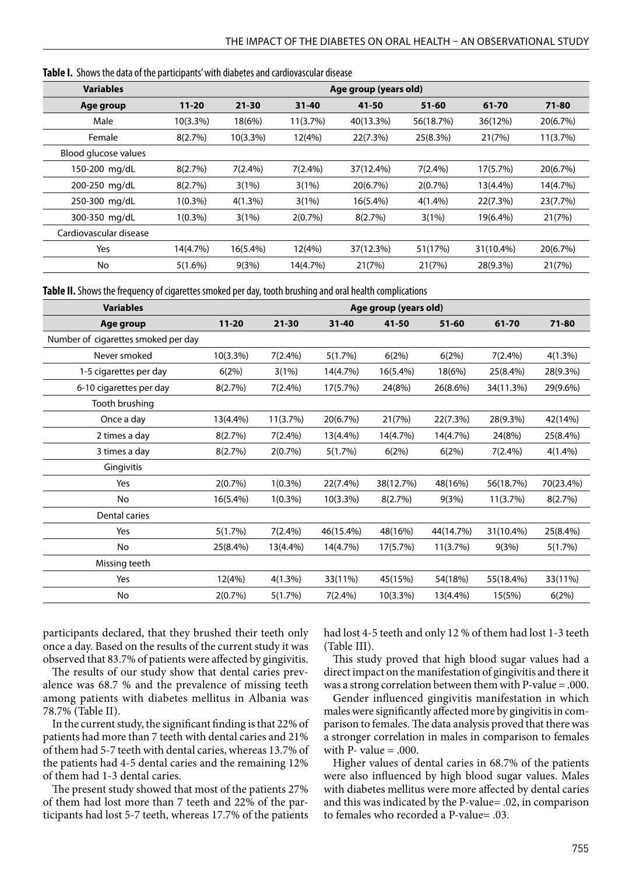| <b>Variables</b>       | Age group (years old) |             |            |             |            |           |           |
|------------------------|-----------------------|-------------|------------|-------------|------------|-----------|-----------|
| Age group              | $11 - 20$             | $21 - 30$   | $31 - 40$  | 41-50       | $51 - 60$  | 61-70     | $71 - 80$ |
| Male                   | $10(3.3\%)$           | 18(6%)      | 11(3.7%)   | 40(13.3%)   | 56(18.7%)  | 36(12%)   | 20(6.7%)  |
| Female                 | 8(2.7%)               | $10(3.3\%)$ | 12(4%)     | 22(7.3%)    | 25(8.3%)   | 21(7%)    | 11(3.7%)  |
| Blood glucose values   |                       |             |            |             |            |           |           |
| 150-200 mg/dL          | 8(2.7%)               | $7(2.4\%)$  | $7(2.4\%)$ | 37(12.4%)   | $7(2.4\%)$ | 17(5.7%)  | 20(6.7%)  |
| 200-250 mg/dL          | 8(2.7%)               | 3(1%)       | 3(1%)      | 20(6.7%)    | 2(0.7%)    | 13(4.4%)  | 14(4.7%)  |
| 250-300 mg/dL          | $1(0.3\%)$            | $4(1.3\%)$  | 3(1%)      | $16(5.4\%)$ | $4(1.4\%)$ | 22(7.3%)  | 23(7.7%)  |
| 300-350 mg/dL          | $1(0.3\%)$            | 3(1%)       | 2(0.7%)    | 8(2.7%)     | 3(1%)      | 19(6.4%)  | 21(7%)    |
| Cardiovascular disease |                       |             |            |             |            |           |           |
| Yes                    | 14(4.7%)              | $16(5.4\%)$ | 12(4%)     | 37(12.3%)   | 51(17%)    | 31(10.4%) | 20(6.7%)  |
| No                     | $5(1.6\%)$            | 9(3%)       | 14(4.7%)   | 21(7%)      | 21(7%)     | 28(9.3%)  | 21(7%)    |
|                        |                       |             |            |             |            |           |           |

**Table I.** Shows the data of the participants' with diabetes and cardiovascular disease

**Table II.** Shows the frequency of cigarettes smoked per day, tooth brushing and oral health complications

| <b>Variables</b>                    | Age group (years old) |            |           |             |           |            |           |
|-------------------------------------|-----------------------|------------|-----------|-------------|-----------|------------|-----------|
| Age group                           | $11 - 20$             | $21 - 30$  | $31 - 40$ | 41-50       | $51 - 60$ | 61-70      | $71 - 80$ |
| Number of cigarettes smoked per day |                       |            |           |             |           |            |           |
| Never smoked                        | $10(3.3\%)$           | $7(2.4\%)$ | 5(1.7%)   | 6(2%)       | 6(2%)     | $7(2.4\%)$ | 4(1.3%)   |
| 1-5 cigarettes per day              | 6(2%)                 | 3(1%)      | 14(4.7%)  | 16(5.4%)    | 18(6%)    | 25(8.4%)   | 28(9.3%)  |
| 6-10 cigarettes per day             | 8(2.7%)               | 7(2.4%)    | 17(5.7%)  | 24(8%)      | 26(8.6%)  | 34(11.3%)  | 29(9.6%)  |
| Tooth brushing                      |                       |            |           |             |           |            |           |
| Once a day                          | 13(4.4%)              | 11(3.7%)   | 20(6.7%)  | 21(7%)      | 22(7.3%)  | 28(9.3%)   | 42(14%)   |
| 2 times a day                       | 8(2.7%)               | $7(2.4\%)$ | 13(4.4%)  | 14(4.7%)    | 14(4.7%)  | 24(8%)     | 25(8.4%)  |
| 3 times a day                       | 8(2.7%)               | $2(0.7\%)$ | 5(1.7%)   | 6(2%)       | 6(2%)     | $7(2.4\%)$ | 4(1.4%)   |
| Gingivitis                          |                       |            |           |             |           |            |           |
| Yes                                 | 2(0.7%)               | $1(0.3\%)$ | 22(7.4%)  | 38(12.7%)   | 48(16%)   | 56(18.7%)  | 70(23.4%) |
| No                                  | 16(5.4%)              | $1(0.3\%)$ | 10(3.3%)  | 8(2.7%)     | 9(3%)     | 11(3.7%)   | 8(2.7%)   |
| Dental caries                       |                       |            |           |             |           |            |           |
| Yes                                 | 5(1.7%)               | $7(2.4\%)$ | 46(15.4%) | 48(16%)     | 44(14.7%) | 31(10.4%)  | 25(8.4%)  |
| No                                  | 25(8.4%)              | 13(4.4%)   | 14(4.7%)  | 17(5.7%)    | 11(3.7%)  | 9(3%)      | 5(1.7%)   |
| Missing teeth                       |                       |            |           |             |           |            |           |
| Yes                                 | 12(4%)                | 4(1.3%)    | 33(11%)   | 45(15%)     | 54(18%)   | 55(18.4%)  | 33(11%)   |
| No                                  | 2(0.7%)               | 5(1.7%)    | 7(2.4%)   | $10(3.3\%)$ | 13(4.4%)  | 15(5%)     | 6(2%)     |

participants declared, that they brushed their teeth only once a day. Based on the results of the current study it was observed that 83.7% of patients were affected by gingivitis.

The results of our study show that dental caries prevalence was 68.7 % and the prevalence of missing teeth among patients with diabetes mellitus in Albania was 78.7% (Table II).

In the current study, the significant finding is that 22% of patients had more than 7 teeth with dental caries and 21% of them had 5-7 teeth with dental caries, whereas 13.7% of the patients had 4-5 dental caries and the remaining 12% of them had 1-3 dental caries.

The present study showed that most of the patients 27% of them had lost more than 7 teeth and 22% of the participants had lost 5-7 teeth, whereas 17.7% of the patients had lost 4-5 teeth and only 12 % of them had lost 1-3 teeth (Table III).

This study proved that high blood sugar values had a direct impact on the manifestation of gingivitis and there it was a strong correlation between them with P-value = .000.

Gender influenced gingivitis manifestation in which males were significantly affected more by gingivitis in comparison to females. The data analysis proved that there was a stronger correlation in males in comparison to females with P- value  $= .000$ .

Higher values of dental caries in 68.7% of the patients were also influenced by high blood sugar values. Males with diabetes mellitus were more affected by dental caries and this was indicated by the P-value= .02, in comparison to females who recorded a P-value= .03.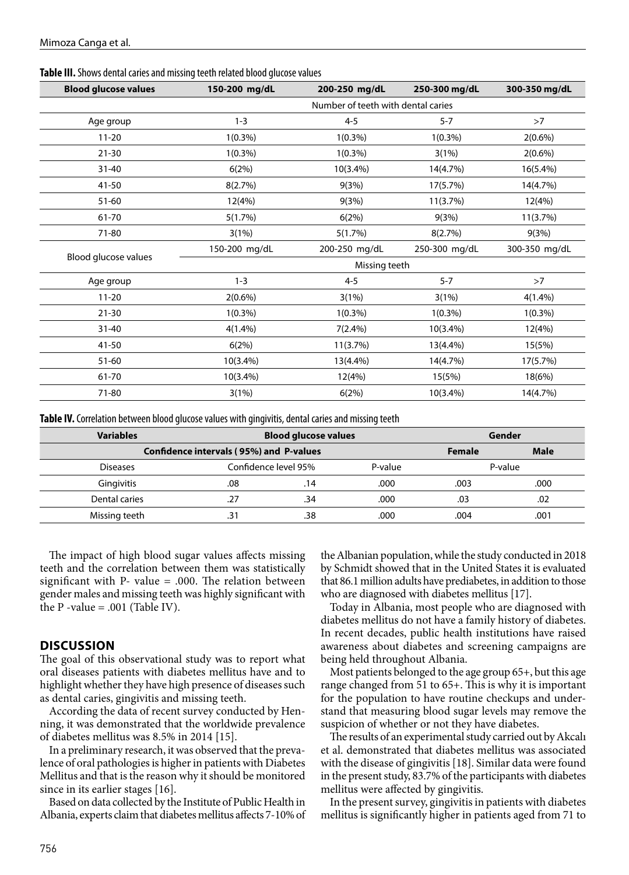| <b>Blood glucose values</b> | 150-200 mg/dL                      | 200-250 mg/dL | 250-300 mg/dL | 300-350 mg/dL |  |  |
|-----------------------------|------------------------------------|---------------|---------------|---------------|--|--|
|                             | Number of teeth with dental caries |               |               |               |  |  |
| Age group                   | $1 - 3$                            | $4 - 5$       | $5 - 7$       | >7            |  |  |
| $11 - 20$                   | $1(0.3\%)$                         | $1(0.3\%)$    | $1(0.3\%)$    | $2(0.6\%)$    |  |  |
| $21 - 30$                   | $1(0.3\%)$                         | $1(0.3\%)$    | 3(1%)         | $2(0.6\%)$    |  |  |
| $31 - 40$                   | 6(2%)                              | 10(3.4%)      | 14(4.7%)      | 16(5.4%)      |  |  |
| 41-50                       | 8(2.7%)                            | 9(3%)         | 17(5.7%)      | 14(4.7%)      |  |  |
| $51 - 60$                   | 12(4%)                             | 9(3%)         | 11(3.7%)      | 12(4%)        |  |  |
| 61-70                       | 5(1.7%)                            | 6(2%)         | 9(3%)         | 11(3.7%)      |  |  |
| 71-80                       | 3(1%)                              | 5(1.7%)       | 8(2.7%)       | 9(3%)         |  |  |
|                             | 150-200 mg/dL                      | 200-250 mg/dL | 250-300 mg/dL | 300-350 mg/dL |  |  |
| Blood glucose values        | Missing teeth                      |               |               |               |  |  |
| Age group                   | $1 - 3$                            | $4 - 5$       | $5 - 7$       | >7            |  |  |
| $11 - 20$                   | $2(0.6\%)$                         | 3(1%)         | 3(1%)         | $4(1.4\%)$    |  |  |
| $21 - 30$                   | $1(0.3\%)$                         | $1(0.3\%)$    | $1(0.3\%)$    | $1(0.3\%)$    |  |  |
| $31 - 40$                   | $4(1.4\%)$                         | $7(2.4\%)$    | 10(3.4%)      | 12(4%)        |  |  |
| $41 - 50$                   | 6(2%)                              | 11(3.7%)      | 13(4.4%)      | 15(5%)        |  |  |
| $51 - 60$                   | $10(3.4\%)$                        | 13(4.4%)      | 14(4.7%)      | 17(5.7%)      |  |  |
| 61-70                       | 10(3.4%)                           | 12(4%)        | 15(5%)        | 18(6%)        |  |  |
| 71-80                       | 3(1%)                              | 6(2%)         | 10(3.4%)      | 14(4.7%)      |  |  |

**Table III.** Shows dental caries and missing teeth related blood glucose values

**Table IV.** Correlation between blood glucose values with gingivitis, dental caries and missing teeth

| <b>Variables</b>                        | <b>Blood glucose values</b> |                      |      | Gender  |      |  |
|-----------------------------------------|-----------------------------|----------------------|------|---------|------|--|
| Confidence intervals (95%) and P-values | <b>Female</b>               | <b>Male</b>          |      |         |      |  |
| <b>Diseases</b>                         |                             | Confidence level 95% |      | P-value |      |  |
| Gingivitis                              | .08                         | .14                  | .000 | .003    | .000 |  |
| Dental caries                           | .27                         | .34                  | .000 | .03     | .02  |  |
| Missing teeth                           | .31                         | .38                  | .000 | .004    | .001 |  |

The impact of high blood sugar values affects missing teeth and the correlation between them was statistically significant with  $P-$  value = .000. The relation between gender males and missing teeth was highly significant with the  $P$  -value = .001 (Table IV).

# **DISCUSSION**

The goal of this observational study was to report what oral diseases patients with diabetes mellitus have and to highlight whether they have high presence of diseases such as dental caries, gingivitis and missing teeth.

According the data of recent survey conducted by Henning, it was demonstrated that the worldwide prevalence of diabetes mellitus was 8.5% in 2014 [15].

In a preliminary research, it was observed that the prevalence of oral pathologies is higher in patients with Diabetes Mellitus and that is the reason why it should be monitored since in its earlier stages [16].

Based on data collected by the Institute of Public Health in Albania, experts claim that diabetes mellitus affects 7-10% of the Albanian population, while the study conducted in 2018 by Schmidt showed that in the United States it is evaluated that 86.1 million adults have prediabetes, in addition to those who are diagnosed with diabetes mellitus [17].

Today in Albania, most people who are diagnosed with diabetes mellitus do not have a family history of diabetes. In recent decades, public health institutions have raised awareness about diabetes and screening campaigns are being held throughout Albania.

Most patients belonged to the age group 65+, but this age range changed from 51 to 65+. This is why it is important for the population to have routine checkups and understand that measuring blood sugar levels may remove the suspicion of whether or not they have diabetes.

The results of an experimental study carried out by Akcalı et al. demonstrated that diabetes mellitus was associated with the disease of gingivitis [18]. Similar data were found in the present study, 83.7% of the participants with diabetes mellitus were affected by gingivitis.

In the present survey, gingivitis in patients with diabetes mellitus is significantly higher in patients aged from 71 to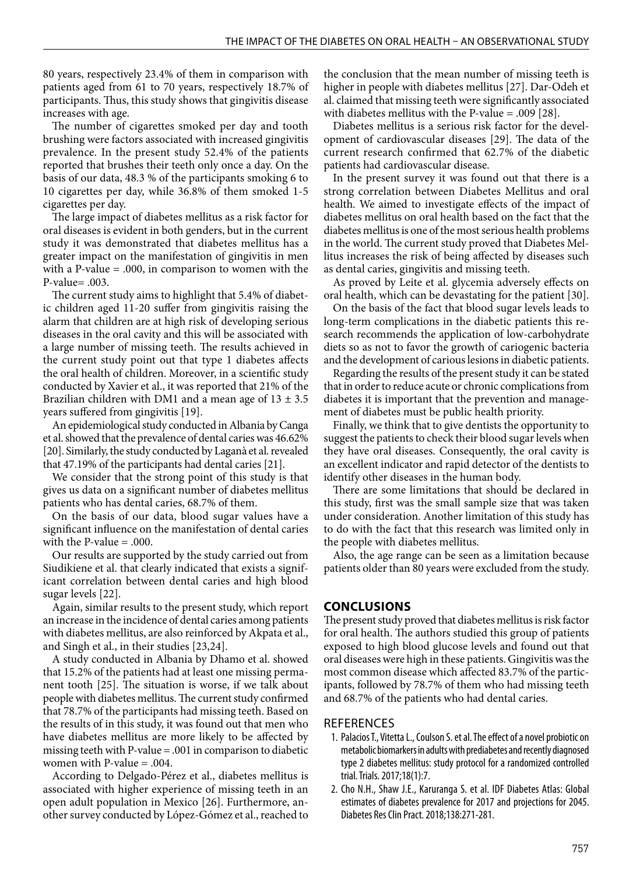80 years, respectively 23.4% of them in comparison with patients aged from 61 to 70 years, respectively 18.7% of participants. Thus, this study shows that gingivitis disease increases with age.

The number of cigarettes smoked per day and tooth brushing were factors associated with increased gingivitis prevalence. In the present study 52.4% of the patients reported that brushes their teeth only once a day. On the basis of our data, 48.3 % of the participants smoking 6 to 10 cigarettes per day, while 36.8% of them smoked 1-5 cigarettes per day.

The large impact of diabetes mellitus as a risk factor for oral diseases is evident in both genders, but in the current study it was demonstrated that diabetes mellitus has a greater impact on the manifestation of gingivitis in men with a P-value = .000, in comparison to women with the P-value= .003.

The current study aims to highlight that 5.4% of diabetic children aged 11-20 suffer from gingivitis raising the alarm that children are at high risk of developing serious diseases in the oral cavity and this will be associated with a large number of missing teeth. The results achieved in the current study point out that type 1 diabetes affects the oral health of children. Moreover, in a scientific study conducted by Xavier et al., it was reported that 21% of the Brazilian children with DM1 and a mean age of  $13 \pm 3.5$ years suffered from gingivitis [19].

An epidemiological study conducted in Albania by Canga et al. showed that the prevalence of dental caries was 46.62% [20]. Similarly, the study conducted by Laganà et al. revealed that 47.19% of the participants had dental caries [21].

We consider that the strong point of this study is that gives us data on a significant number of diabetes mellitus patients who has dental caries, 68.7% of them.

On the basis of our data, blood sugar values have a significant influence on the manifestation of dental caries with the P-value  $= .000$ .

Our results are supported by the study carried out from Siudikiene et al. that clearly indicated that exists a significant correlation between dental caries and high blood sugar levels [22].

Again, similar results to the present study, which report an increase in the incidence of dental caries among patients with diabetes mellitus, are also reinforced by Akpata et al., and Singh et al., in their studies [23,24].

A study conducted in Albania by Dhamo et al. showed that 15.2% of the patients had at least one missing permanent tooth [25]. The situation is worse, if we talk about people with diabetes mellitus. The current study confirmed that 78.7% of the participants had missing teeth. Based on the results of in this study, it was found out that men who have diabetes mellitus are more likely to be affected by missing teeth with P-value = .001 in comparison to diabetic women with P-value  $= .004$ .

According to Delgado-Pérez et al., diabetes mellitus is associated with higher experience of missing teeth in an open adult population in Mexico [26]. Furthermore, another survey conducted by López-Gómez et al., reached to the conclusion that the mean number of missing teeth is higher in people with diabetes mellitus [27]. Dar-Odeh et al. claimed that missing teeth were significantly associated with diabetes mellitus with the P-value = .009 [28].

Diabetes mellitus is a serious risk factor for the development of cardiovascular diseases [29]. The data of the current research confirmed that 62.7% of the diabetic patients had cardiovascular disease.

In the present survey it was found out that there is a strong correlation between Diabetes Mellitus and oral health. We aimed to investigate effects of the impact of diabetes mellitus on oral health based on the fact that the diabetes mellitus is one of the most serious health problems in the world. The current study proved that Diabetes Mellitus increases the risk of being affected by diseases such as dental caries, gingivitis and missing teeth.

As proved by Leite et al. glycemia adversely effects on oral health, which can be devastating for the patient [30].

On the basis of the fact that blood sugar levels leads to long-term complications in the diabetic patients this research recommends the application of low-carbohydrate diets so as not to favor the growth of cariogenic bacteria and the development of carious lesions in diabetic patients.

Regarding the results of the present study it can be stated that in order to reduce acute or chronic complications from diabetes it is important that the prevention and management of diabetes must be public health priority.

Finally, we think that to give dentists the opportunity to suggest the patients to check their blood sugar levels when they have oral diseases. Consequently, the oral cavity is an excellent indicator and rapid detector of the dentists to identify other diseases in the human body.

There are some limitations that should be declared in this study, first was the small sample size that was taken under consideration. Another limitation of this study has to do with the fact that this research was limited only in the people with diabetes mellitus.

Also, the age range can be seen as a limitation because patients older than 80 years were excluded from the study.

#### **CONCLUSIONS**

The present study proved that diabetes mellitus is risk factor for oral health. The authors studied this group of patients exposed to high blood glucose levels and found out that oral diseases were high in these patients. Gingivitis was the most common disease which affected 83.7% of the participants, followed by 78.7% of them who had missing teeth and 68.7% of the patients who had dental caries.

# REFERENCES

- 1. Palacios T., Vitetta L., Coulson S. et al. The effect of a novel probiotic on metabolic biomarkers in adults with prediabetes and recently diagnosed type 2 diabetes mellitus: study protocol for a randomized controlled trial. Trials. 2017;18(1):7.
- 2. Cho N.H., Shaw J.E., Karuranga S. et al. IDF Diabetes Atlas: Global estimates of diabetes prevalence for 2017 and projections for 2045. Diabetes Res Clin Pract. 2018;138:271-281.